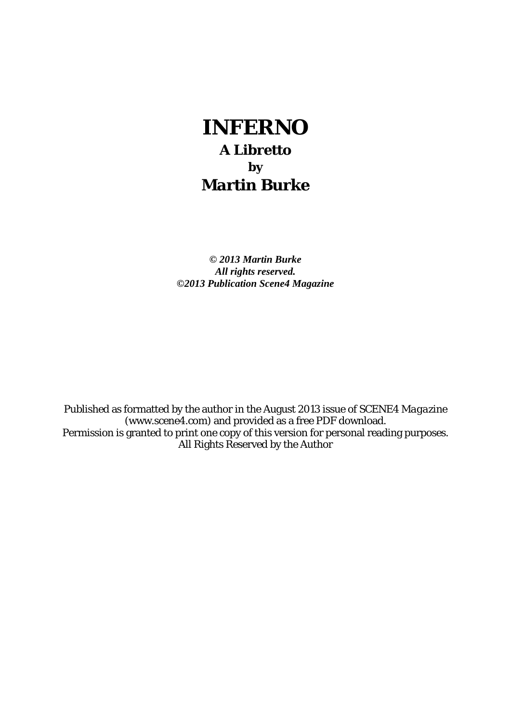# **INFERNO A Libretto by Martin Burke**

*© 2013 Martin Burke All rights reserved. ©2013 Publication Scene4 Magazine* 

Published as formatted by the author in the August 2013 issue of *SCENE4 Magazine* (www.scene4.com) and provided as a free PDF download. Permission is granted to print one copy of this version for personal reading purposes. All Rights Reserved by the Author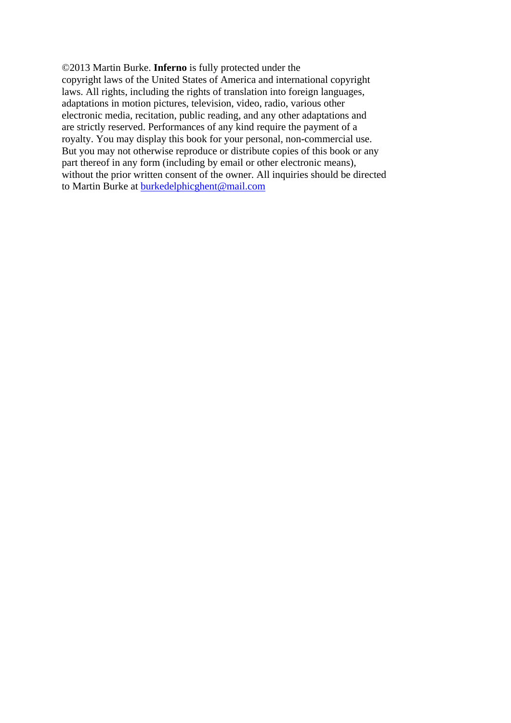©2013 Martin Burke. **Inferno** is fully protected under the copyright laws of the United States of America and international copyright laws. All rights, including the rights of translation into foreign languages, adaptations in motion pictures, television, video, radio, various other electronic media, recitation, public reading, and any other adaptations and are strictly reserved. Performances of any kind require the payment of a royalty. You may display this book for your personal, non-commercial use. But you may not otherwise reproduce or distribute copies of this book or any part thereof in any form (including by email or other electronic means), without the prior written consent of the owner. All inquiries should be directed to Martin Burke at [burkedelphicghent@mail.com](mailto:burkedelphicghent@mail.com)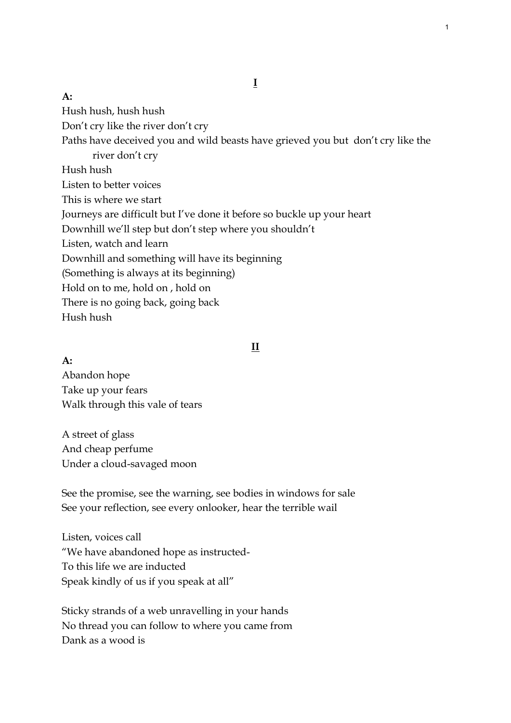#### **A:**

Hush hush, hush hush Don't cry like the river don't cry Paths have deceived you and wild beasts have grieved you but don't cry like the river don't cry Hush hush Listen to better voices This is where we start Journeys are difficult but I've done it before so buckle up your heart Downhill we'll step but don't step where you shouldn't Listen, watch and learn Downhill and something will have its beginning (Something is always at its beginning) Hold on to me, hold on , hold on There is no going back, going back Hush hush

#### **II**

**A:** Abandon hope Take up your fears Walk through this vale of tears

A street of glass And cheap perfume Under a cloud-savaged moon

See the promise, see the warning, see bodies in windows for sale See your reflection, see every onlooker, hear the terrible wail

Listen, voices call "We have abandoned hope as instructed-To this life we are inducted Speak kindly of us if you speak at all"

Sticky strands of a web unravelling in your hands No thread you can follow to where you came from Dank as a wood is

**I**

1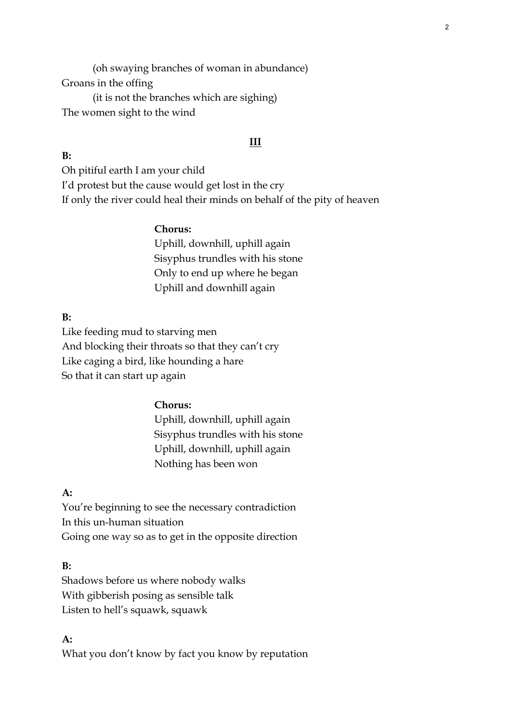(oh swaying branches of woman in abundance) Groans in the offing (it is not the branches which are sighing)

The women sight to the wind

#### **III**

Oh pitiful earth I am your child I'd protest but the cause would get lost in the cry If only the river could heal their minds on behalf of the pity of heaven

#### **Chorus:**

Uphill, downhill, uphill again Sisyphus trundles with his stone Only to end up where he began Uphill and downhill again

## **B:**

**B:** 

Like feeding mud to starving men And blocking their throats so that they can't cry Like caging a bird, like hounding a hare So that it can start up again

#### **Chorus:**

Uphill, downhill, uphill again Sisyphus trundles with his stone Uphill, downhill, uphill again Nothing has been won

## **A:**

You're beginning to see the necessary contradiction In this un-human situation Going one way so as to get in the opposite direction

#### **B:**

Shadows before us where nobody walks With gibberish posing as sensible talk Listen to hell's squawk, squawk

## **A:**

What you don't know by fact you know by reputation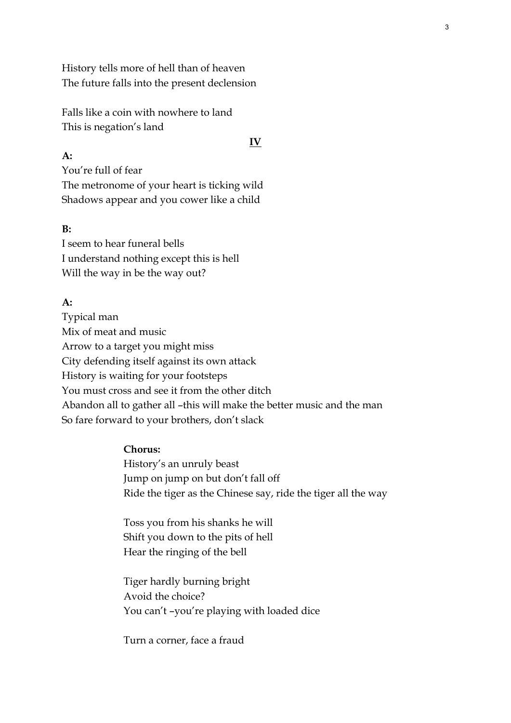History tells more of hell than of heaven The future falls into the present declension

Falls like a coin with nowhere to land This is negation's land

#### **IV**

## **A:**

You're full of fear The metronome of your heart is ticking wild Shadows appear and you cower like a child

## **B:**

I seem to hear funeral bells I understand nothing except this is hell Will the way in be the way out?

## **A:**

Typical man Mix of meat and music Arrow to a target you might miss City defending itself against its own attack History is waiting for your footsteps You must cross and see it from the other ditch Abandon all to gather all –this will make the better music and the man So fare forward to your brothers, don't slack

## **Chorus:**

History's an unruly beast Jump on jump on but don't fall off Ride the tiger as the Chinese say, ride the tiger all the way

Toss you from his shanks he will Shift you down to the pits of hell Hear the ringing of the bell

Tiger hardly burning bright Avoid the choice? You can't –you're playing with loaded dice

Turn a corner, face a fraud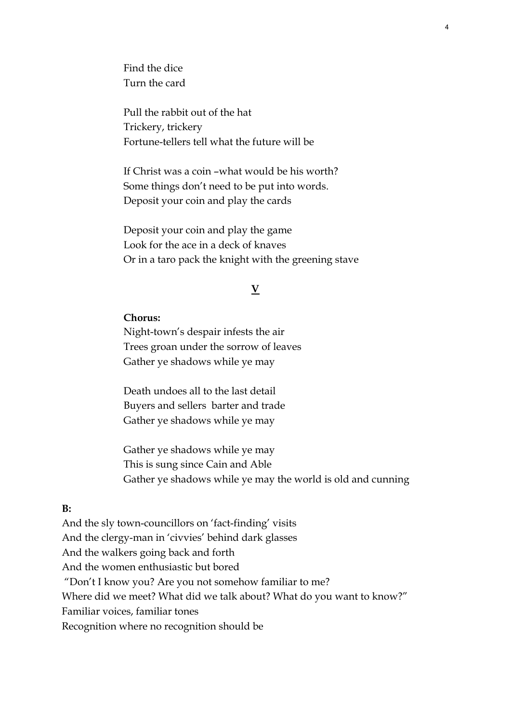Find the dice Turn the card

Pull the rabbit out of the hat Trickery, trickery Fortune-tellers tell what the future will be

If Christ was a coin –what would be his worth? Some things don't need to be put into words. Deposit your coin and play the cards

Deposit your coin and play the game Look for the ace in a deck of knaves Or in a taro pack the knight with the greening stave

## **V**

4

#### **Chorus:**

Night-town's despair infests the air Trees groan under the sorrow of leaves Gather ye shadows while ye may

Death undoes all to the last detail Buyers and sellers barter and trade Gather ye shadows while ye may

Gather ye shadows while ye may This is sung since Cain and Able Gather ye shadows while ye may the world is old and cunning

#### **B:**

And the sly town-councillors on 'fact-finding' visits And the clergy-man in 'civvies' behind dark glasses And the walkers going back and forth And the women enthusiastic but bored "Don't I know you? Are you not somehow familiar to me? Where did we meet? What did we talk about? What do you want to know?" Familiar voices, familiar tones Recognition where no recognition should be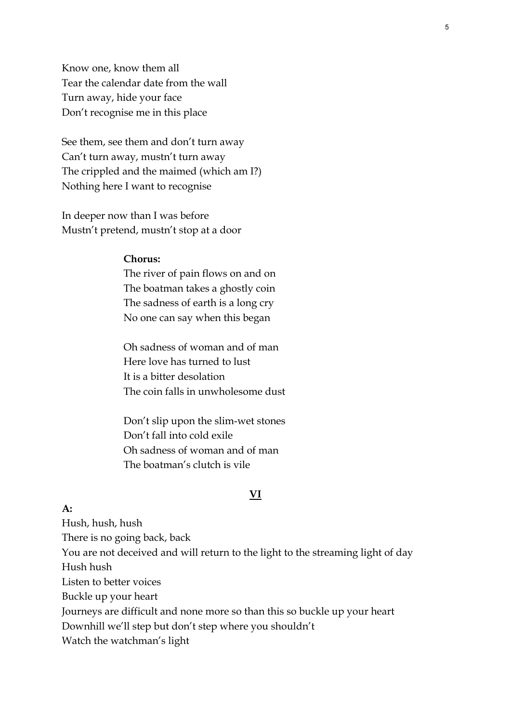Know one, know them all Tear the calendar date from the wall Turn away, hide your face Don't recognise me in this place

See them, see them and don't turn away Can't turn away, mustn't turn away The crippled and the maimed (which am I?) Nothing here I want to recognise

In deeper now than I was before Mustn't pretend, mustn't stop at a door

#### **Chorus:**

**A:**

The river of pain flows on and on The boatman takes a ghostly coin The sadness of earth is a long cry No one can say when this began

Oh sadness of woman and of man Here love has turned to lust It is a bitter desolation The coin falls in unwholesome dust

Don't slip upon the slim-wet stones Don't fall into cold exile Oh sadness of woman and of man The boatman's clutch is vile

#### **VI**

# Hush, hush, hush There is no going back, back You are not deceived and will return to the light to the streaming light of day Hush hush Listen to better voices Buckle up your heart Journeys are difficult and none more so than this so buckle up your heart Downhill we'll step but don't step where you shouldn't Watch the watchman's light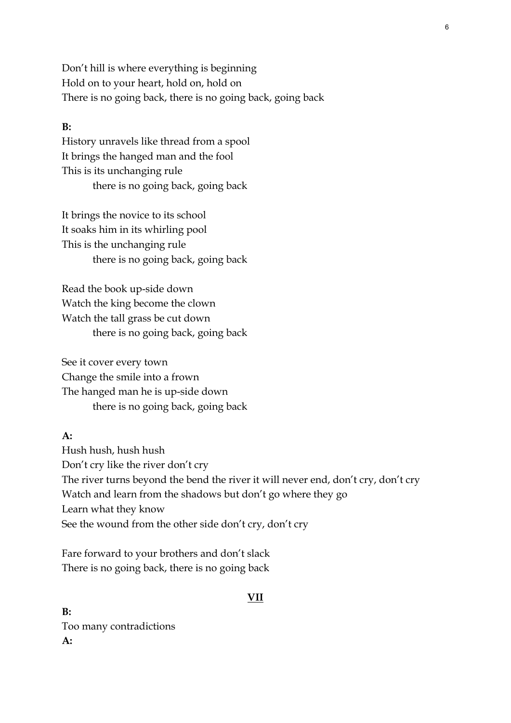Don't hill is where everything is beginning Hold on to your heart, hold on, hold on There is no going back, there is no going back, going back

## **B:**

History unravels like thread from a spool It brings the hanged man and the fool This is its unchanging rule there is no going back, going back

It brings the novice to its school It soaks him in its whirling pool This is the unchanging rule there is no going back, going back

Read the book up-side down Watch the king become the clown Watch the tall grass be cut down there is no going back, going back

See it cover every town Change the smile into a frown The hanged man he is up-side down there is no going back, going back

#### **A:**

Hush hush, hush hush Don't cry like the river don't cry The river turns beyond the bend the river it will never end, don't cry, don't cry Watch and learn from the shadows but don't go where they go Learn what they know See the wound from the other side don't cry, don't cry

Fare forward to your brothers and don't slack There is no going back, there is no going back

## **VII**

**B:**  Too many contradictions **A:**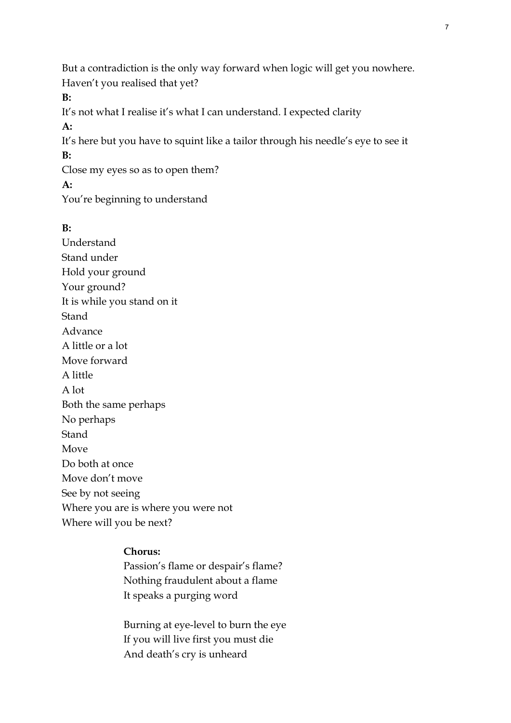But a contradiction is the only way forward when logic will get you nowhere. Haven't you realised that yet?

**B:** 

It's not what I realise it's what I can understand. I expected clarity

**A:**

It's here but you have to squint like a tailor through his needle's eye to see it **B:** 

Close my eyes so as to open them?

**A:**

You're beginning to understand

## **B:**

Understand Stand under Hold your ground Your ground? It is while you stand on it **Stand** Advance A little or a lot Move forward A little A lot Both the same perhaps No perhaps Stand Move Do both at once Move don't move See by not seeing Where you are is where you were not Where will you be next?

## **Chorus:**

Passion's flame or despair's flame? Nothing fraudulent about a flame It speaks a purging word

Burning at eye-level to burn the eye If you will live first you must die And death's cry is unheard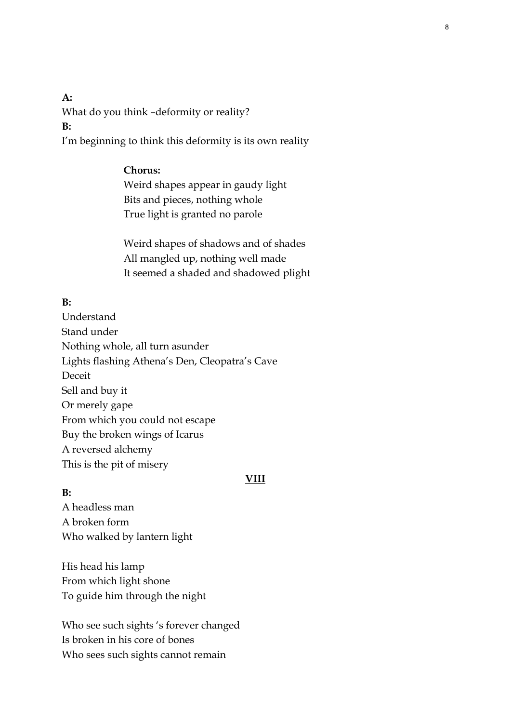**A:** What do you think –deformity or reality? **B:** 

I'm beginning to think this deformity is its own reality

#### **Chorus:**

Weird shapes appear in gaudy light Bits and pieces, nothing whole True light is granted no parole

Weird shapes of shadows and of shades All mangled up, nothing well made It seemed a shaded and shadowed plight

## **B:**

Understand Stand under Nothing whole, all turn asunder Lights flashing Athena's Den, Cleopatra's Cave Deceit Sell and buy it Or merely gape From which you could not escape Buy the broken wings of Icarus A reversed alchemy This is the pit of misery

#### **VIII**

## **B:**  A headless man A broken form Who walked by lantern light

His head his lamp From which light shone To guide him through the night

Who see such sights 's forever changed Is broken in his core of bones Who sees such sights cannot remain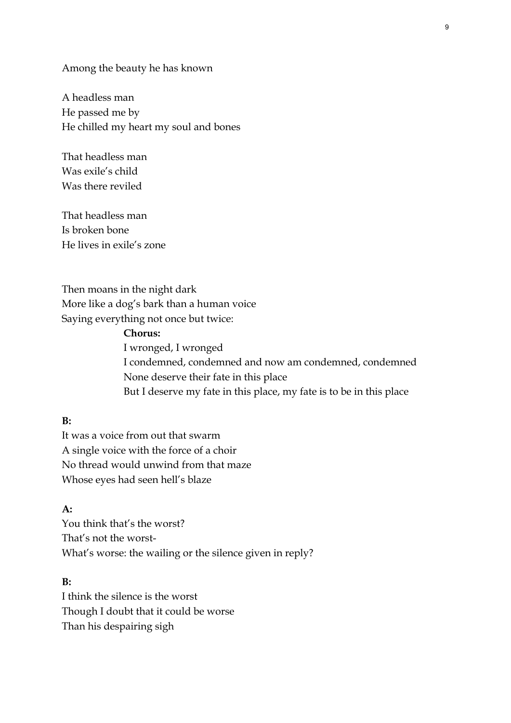Among the beauty he has known

A headless man He passed me by He chilled my heart my soul and bones

That headless man Was exile's child Was there reviled

That headless man Is broken bone He lives in exile's zone

Then moans in the night dark More like a dog's bark than a human voice Saying everything not once but twice:

> **Chorus:**  I wronged, I wronged I condemned, condemned and now am condemned, condemned None deserve their fate in this place But I deserve my fate in this place, my fate is to be in this place

## **B:**

It was a voice from out that swarm A single voice with the force of a choir No thread would unwind from that maze Whose eyes had seen hell's blaze

## **A:**

You think that's the worst? That's not the worst-What's worse: the wailing or the silence given in reply?

## **B:**

I think the silence is the worst Though I doubt that it could be worse Than his despairing sigh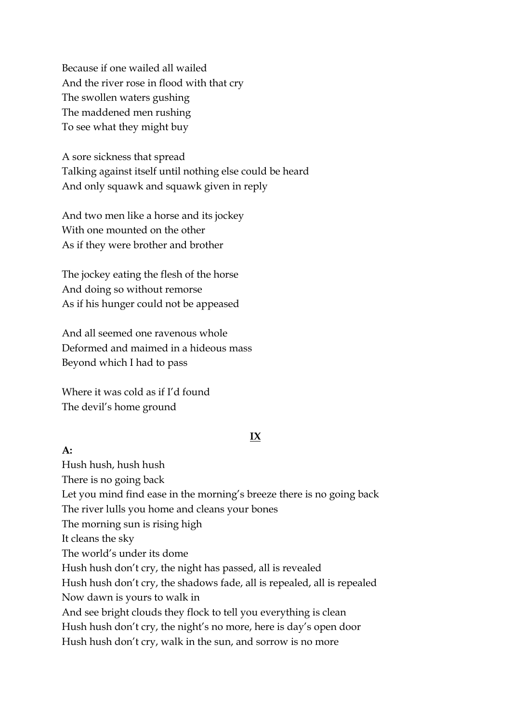Because if one wailed all wailed And the river rose in flood with that cry The swollen waters gushing The maddened men rushing To see what they might buy

A sore sickness that spread Talking against itself until nothing else could be heard And only squawk and squawk given in reply

And two men like a horse and its jockey With one mounted on the other As if they were brother and brother

The jockey eating the flesh of the horse And doing so without remorse As if his hunger could not be appeased

And all seemed one ravenous whole Deformed and maimed in a hideous mass Beyond which I had to pass

Where it was cold as if I'd found The devil's home ground

**A:**

## **IX**

Hush hush, hush hush There is no going back Let you mind find ease in the morning's breeze there is no going back The river lulls you home and cleans your bones The morning sun is rising high It cleans the sky The world's under its dome Hush hush don't cry, the night has passed, all is revealed Hush hush don't cry, the shadows fade, all is repealed, all is repealed Now dawn is yours to walk in And see bright clouds they flock to tell you everything is clean Hush hush don't cry, the night's no more, here is day's open door Hush hush don't cry, walk in the sun, and sorrow is no more